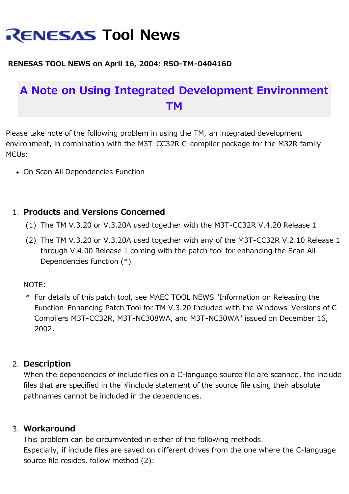# **RENESAS Tool News**

### **RENESAS TOOL NEWS on April 16, 2004: RSO-TM-040416D**

## **A Note on Using Integrated Development Environment TM**

Please take note of the following problem in using the TM, an integrated development environment, in combination with the M3T-CC32R C-compiler package for the M32R family MCUs:

• On Scan All Dependencies Function

### 1. **Products and Versions Concerned**

- (1) The TM V.3.20 or V.3.20A used together with the M3T-CC32R V.4.20 Release 1
- (2) The TM V.3.20 or V.3.20A used together with any of the M3T-CC32R V.2.10 Release 1 through V.4.00 Release 1 coming with the patch tool for enhancing the Scan All Dependencies function (\*)

#### NOTE:

\* For details of this patch tool, see MAEC TOOL NEWS "Information on Releasing the Function-Enhancing Patch Tool for TM V.3.20 Included with the Windows' Versions of C Compilers M3T-CC32R, M3T-NC308WA, and M3T-NC30WA" issued on December 16, 2002.

### 2. **Description**

When the dependencies of include files on a C-language source file are scanned, the include files that are specified in the #include statement of the source file using their absolute pathnames cannot be included in the dependencies.

### 3. **Workaround**

This problem can be circumvented in either of the following methods. Especially, if include files are saved on different drives from the one where the C-language source file resides, follow method (2):